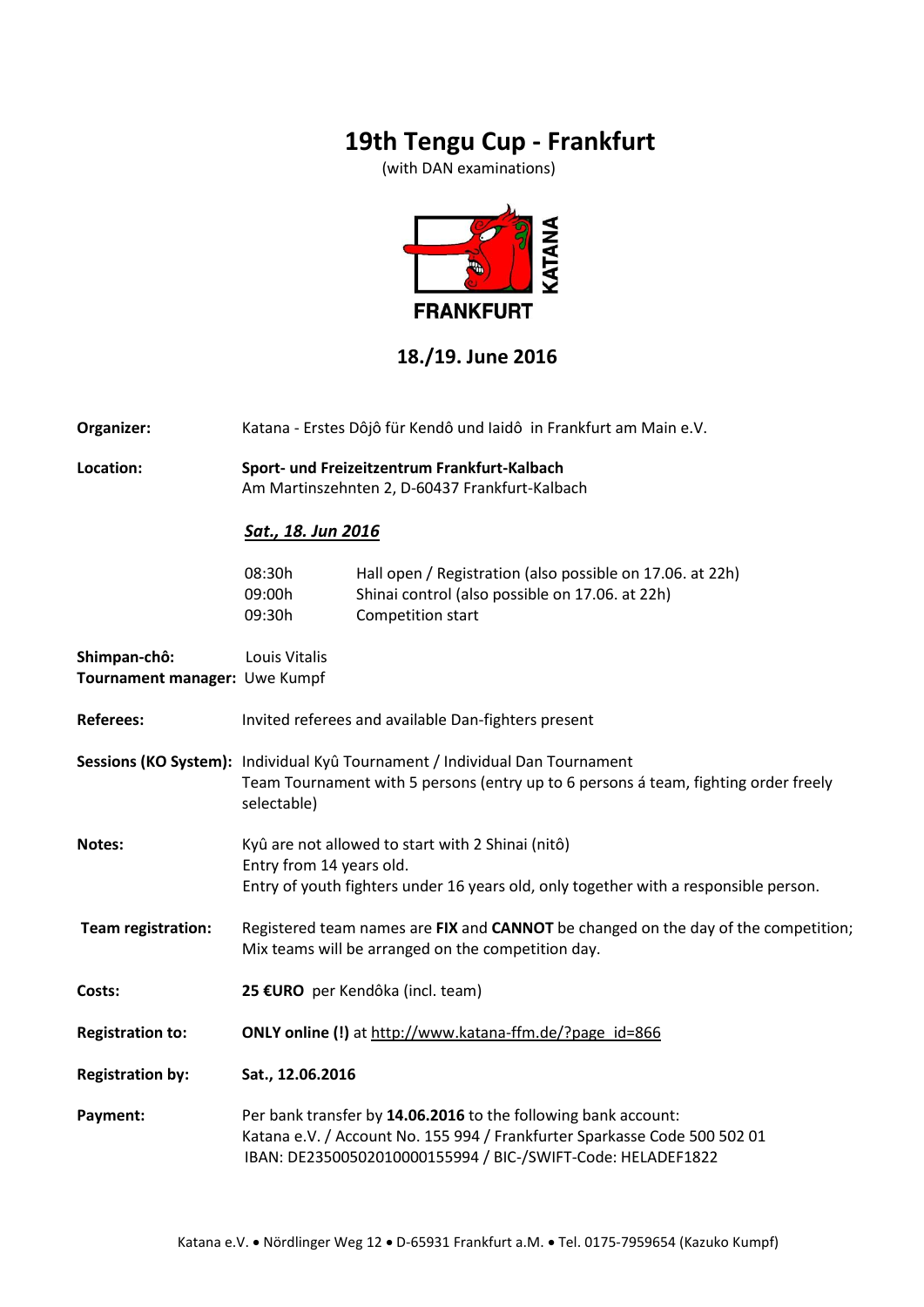## **19th Tengu Cup - Frankfurt**

(with DAN examinations)



#### **18./19. June 2016**

**Organizer:** Katana - Erstes Dôjô für Kendô und Iaidô in Frankfurt am Main e.V.

**Location: Sport- und Freizeitzentrum Frankfurt-Kalbach**  Am Martinszehnten 2, D-60437 Frankfurt-Kalbach

#### *Sat., 18. Jun 2016*

| 08:30h | Hall open / Registration (also possible on 17.06. at 22h) |
|--------|-----------------------------------------------------------|
| 09:00h | Shinai control (also possible on 17.06. at 22h)           |
| 09:30h | Competition start                                         |

| Shimpan-chô:<br>Tournament manager: Uwe Kumpf | Louis Vitalis                                                                                                                                                                                              |  |  |
|-----------------------------------------------|------------------------------------------------------------------------------------------------------------------------------------------------------------------------------------------------------------|--|--|
| <b>Referees:</b>                              | Invited referees and available Dan-fighters present                                                                                                                                                        |  |  |
|                                               | Sessions (KO System): Individual Kyû Tournament / Individual Dan Tournament<br>Team Tournament with 5 persons (entry up to 6 persons á team, fighting order freely<br>selectable)                          |  |  |
| Notes:                                        | Kyû are not allowed to start with 2 Shinai (nitô)<br>Entry from 14 years old.<br>Entry of youth fighters under 16 years old, only together with a responsible person.                                      |  |  |
| <b>Team registration:</b>                     | Registered team names are FIX and CANNOT be changed on the day of the competition;<br>Mix teams will be arranged on the competition day.                                                                   |  |  |
| Costs:                                        | 25 €URO per Kendôka (incl. team)                                                                                                                                                                           |  |  |
| <b>Registration to:</b>                       | ONLY online (!) at http://www.katana-ffm.de/?page_id=866                                                                                                                                                   |  |  |
| <b>Registration by:</b>                       | Sat., 12.06.2016                                                                                                                                                                                           |  |  |
| Payment:                                      | Per bank transfer by 14.06.2016 to the following bank account:<br>Katana e.V. / Account No. 155 994 / Frankfurter Sparkasse Code 500 502 01<br>IBAN: DE23500502010000155994 / BIC-/SWIFT-Code: HELADEF1822 |  |  |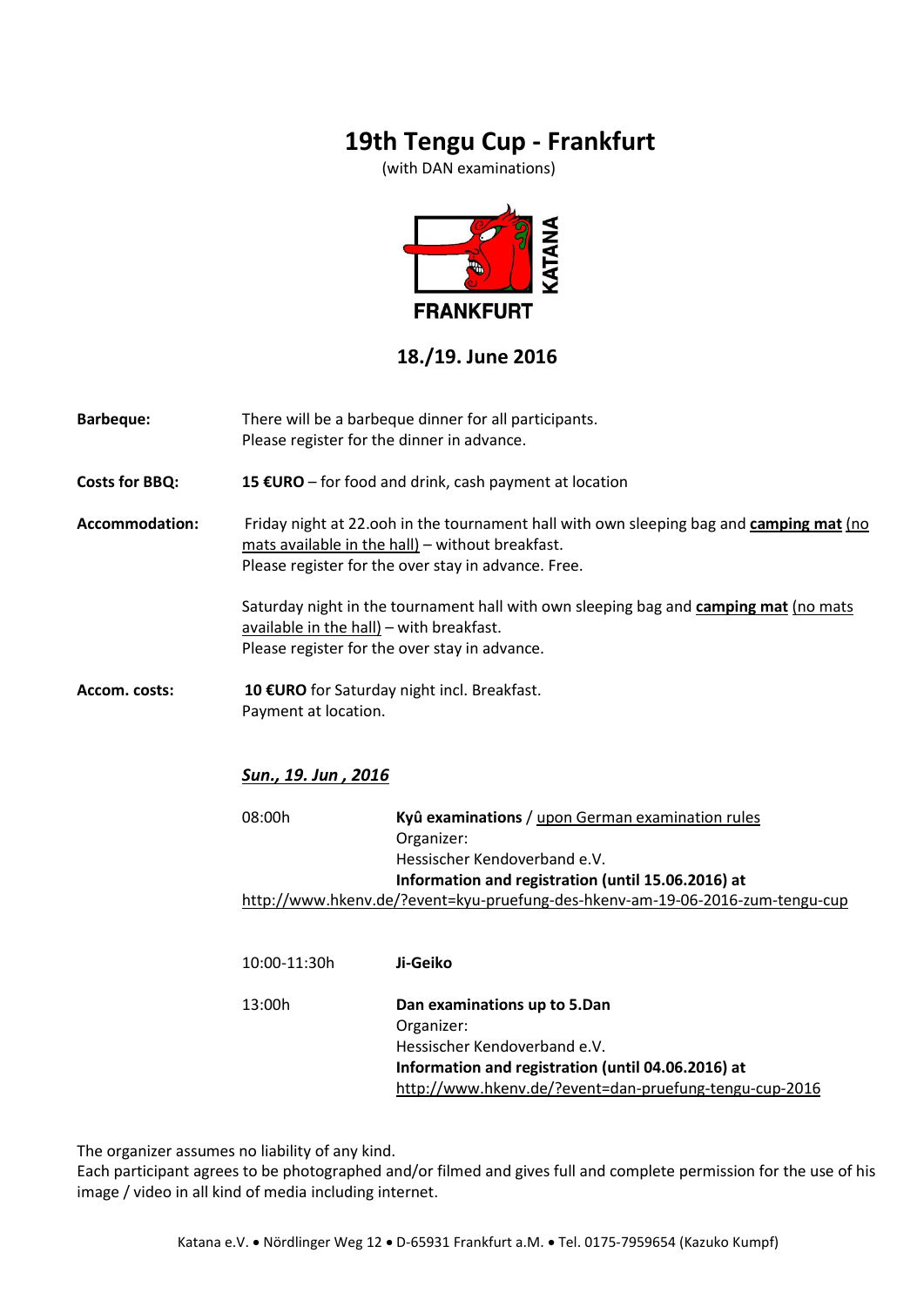# **19th Tengu Cup - Frankfurt**

(with DAN examinations)



#### **18./19. June 2016**

| <b>Barbeque:</b>      | There will be a barbeque dinner for all participants.<br>Please register for the dinner in advance.                                                                                                |                                                                                                                                                                                            |  |  |
|-----------------------|----------------------------------------------------------------------------------------------------------------------------------------------------------------------------------------------------|--------------------------------------------------------------------------------------------------------------------------------------------------------------------------------------------|--|--|
| <b>Costs for BBQ:</b> | 15 €URO – for food and drink, cash payment at location                                                                                                                                             |                                                                                                                                                                                            |  |  |
| <b>Accommodation:</b> | Friday night at 22.00h in the tournament hall with own sleeping bag and camping mat (no<br>mats available in the hall) - without breakfast.<br>Please register for the over stay in advance. Free. |                                                                                                                                                                                            |  |  |
|                       | Saturday night in the tournament hall with own sleeping bag and camping mat (no mats<br>available in the hall) - with breakfast.<br>Please register for the over stay in advance.                  |                                                                                                                                                                                            |  |  |
| Accom. costs:         | Payment at location.                                                                                                                                                                               | 10 €URO for Saturday night incl. Breakfast.                                                                                                                                                |  |  |
|                       | <b>Sun., 19. Jun , 2016</b>                                                                                                                                                                        |                                                                                                                                                                                            |  |  |
|                       | 08:00h                                                                                                                                                                                             | Kyû examinations / upon German examination rules<br>Organizer:<br>Hessischer Kendoverband e.V.                                                                                             |  |  |
|                       |                                                                                                                                                                                                    | Information and registration (until 15.06.2016) at<br>http://www.hkenv.de/?event=kyu-pruefung-des-hkenv-am-19-06-2016-zum-tengu-cup                                                        |  |  |
|                       | 10:00-11:30h                                                                                                                                                                                       | Ji-Geiko                                                                                                                                                                                   |  |  |
|                       | 13:00h                                                                                                                                                                                             | Dan examinations up to 5.Dan<br>Organizer:<br>Hessischer Kendoverband e.V.<br>Information and registration (until 04.06.2016) at<br>http://www.hkenv.de/?event=dan-pruefung-tengu-cup-2016 |  |  |

The organizer assumes no liability of any kind.

Each participant agrees to be photographed and/or filmed and gives full and complete permission for the use of his image / video in all kind of media including internet.